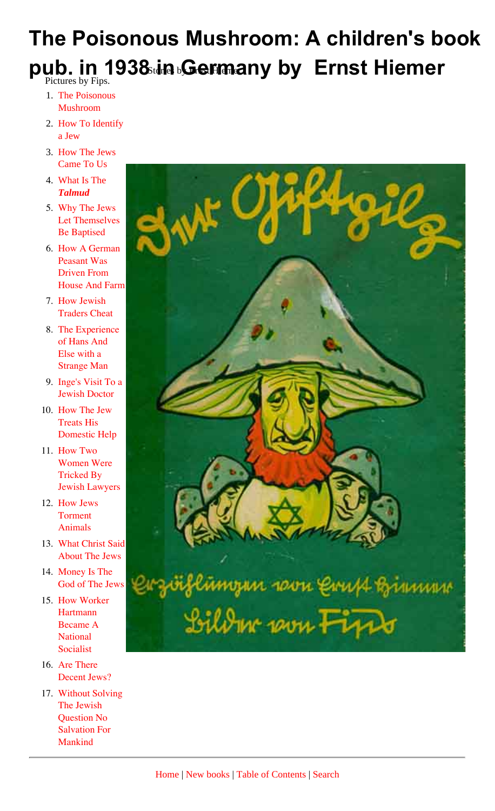## **The Poisonous Mushroom: A children's book pub. in 1938 in Germany by Ernst Hiemer.** Pictures by Fips.

- 1. [The Poisonous](#page-1-0) [Mushroom](#page-1-0)
- 2. [How To Identify](#page-2-0) [a Jew](#page-2-0)
- 3. [How The Jews](#page-3-0) [Came To Us](#page-3-0)
- [What Is The](#page-4-0) 4. *[Talmud](#page-4-0)*
- [Why The Jews](#page-5-0) 5. [Let Themselves](#page-5-0) [Be Baptised](#page-5-0)
- 6. [How A German](#page-6-0) [Peasant Was](#page-6-0) [Driven From](#page-6-0) [House And Farm](#page-6-0)
- 7. [How Jewish](#page-7-0) [Traders Cheat](#page-7-0)
- 8. [The Experience](#page-8-0) [of Hans And](#page-8-0) [Else with a](#page-8-0) [Strange Man](#page-8-0)
- 9. [Inge's Visit To a](#page-9-0) [Jewish Doctor](#page-9-0)
- 10. [How The Jew](#page-10-0) [Treats His](#page-10-0) [Domestic Help](#page-10-0)
- 11. [How Two](#page-11-0) [Women Were](#page-11-0) [Tricked By](#page-11-0) [Jewish Lawyers](#page-11-0)
- 12. [How Jews](#page-12-0) [Torment](#page-12-0) [Animals](#page-12-0)
- [What Christ Said](#page-13-0) 13. [About The Jews](#page-13-0)
- 14. [Money Is The](#page-14-0) [God of The Jews](#page-14-0)
- 15. [How Worker](#page-15-0) [Hartmann](#page-15-0) [Became A](#page-15-0) **[National](#page-15-0)** [Socialist](#page-15-0)
- [Are There](#page-16-0) 16. [Decent Jews?](#page-16-0)
- [Without Solving](#page-17-0) 17. [The Jewish](#page-17-0) [Question No](#page-17-0) [Salvation For](#page-17-0) [Mankind](#page-17-0)

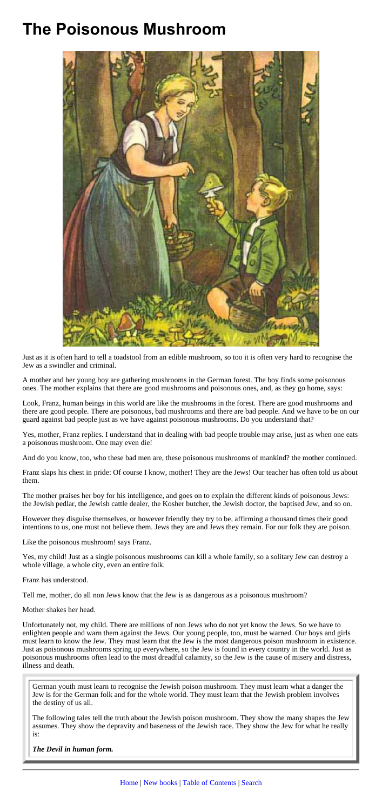# <span id="page-1-0"></span>**The Poisonous Mushroom**



Just as it is often hard to tell a toadstool from an edible mushroom, so too it is often very hard to recognise the Jew as a swindler and criminal.

A mother and her young boy are gathering mushrooms in the German forest. The boy finds some poisonous ones. The mother explains that there are good mushrooms and poisonous ones, and, as they go home, says:

Look, Franz, human beings in this world are like the mushrooms in the forest. There are good mushrooms and there are good people. There are poisonous, bad mushrooms and there are bad people. And we have to be on our guard against bad people just as we have against poisonous mushrooms. Do you understand that?

Yes, mother, Franz replies. I understand that in dealing with bad people trouble may arise, just as when one eats a poisonous mushroom. One may even die!

And do you know, too, who these bad men are, these poisonous mushrooms of mankind? the mother continued.

Franz slaps his chest in pride: Of course I know, mother! They are the Jews! Our teacher has often told us about them.

The mother praises her boy for his intelligence, and goes on to explain the different kinds of poisonous Jews: the Jewish pedlar, the Jewish cattle dealer, the Kosher butcher, the Jewish doctor, the baptised Jew, and so on.

However they disguise themselves, or however friendly they try to be, affirming a thousand times their good intentions to us, one must not believe them. Jews they are and Jews they remain. For our folk they are poison.

Like the poisonous mushroom! says Franz.

Yes, my child! Just as a single poisonous mushrooms can kill a whole family, so a solitary Jew can destroy a

whole village, a whole city, even an entire folk.

Franz has understood.

Tell me, mother, do all non Jews know that the Jew is as dangerous as a poisonous mushroom?

Mother shakes her head.

Unfortunately not, my child. There are millions of non Jews who do not yet know the Jews. So we have to enlighten people and warn them against the Jews. Our young people, too, must be warned. Our boys and girls must learn to know the Jew. They must learn that the Jew is the most dangerous poison mushroom in existence. Just as poisonous mushrooms spring up everywhere, so the Jew is found in every country in the world. Just as poisonous mushrooms often lead to the most dreadful calamity, so the Jew is the cause of misery and distress, illness and death.

German youth must learn to recognise the Jewish poison mushroom. They must learn what a danger the Jew is for the German folk and for the whole world. They must learn that the Jewish problem involves the destiny of us all.

The following tales tell the truth about the Jewish poison mushroom. They show the many shapes the Jew assumes. They show the depravity and baseness of the Jewish race. They show the Jew for what he really is:

*The Devil in human form.*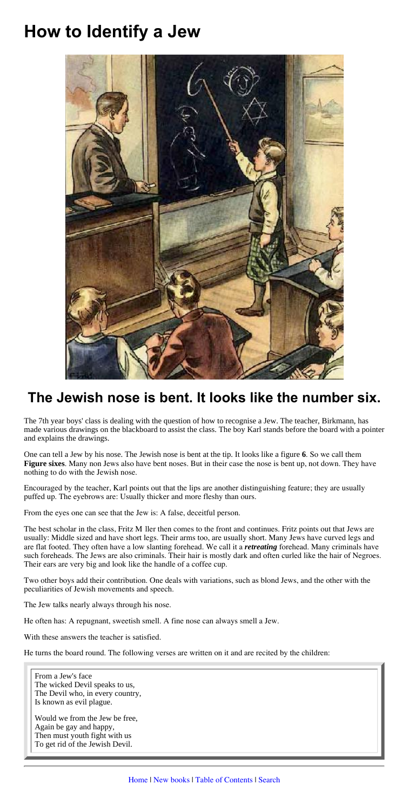# <span id="page-2-0"></span>**How to Identify a Jew**



## **The Jewish nose is bent. It looks like the number six.**

The 7th year boys' class is dealing with the question of how to recognise a Jew. The teacher, Birkmann, has made various drawings on the blackboard to assist the class. The boy Karl stands before the board with a pointer and explains the drawings.

One can tell a Jew by his nose. The Jewish nose is bent at the tip. It looks like a figure **6**. So we call them **Figure sixes**. Many non Jews also have bent noses. But in their case the nose is bent up, not down. They have nothing to do with the Jewish nose.

Encouraged by the teacher, Karl points out that the lips are another distinguishing feature; they are usually puffed up. The eyebrows are: Usually thicker and more fleshy than ours.

The best scholar in the class, Fritz M Iler then comes to the front and continues. Fritz points out that Jews are usually: Middle sized and have short legs. Their arms too, are usually short. Many Jews have curved legs and are flat footed. They often have a low slanting forehead. We call it a *retreating* forehead. Many criminals have such foreheads. The Jews are also criminals. Their hair is mostly dark and often curled like the hair of Negroes. Their ears are very big and look like the handle of a coffee cup.

From the eyes one can see that the Jew is: A false, deceitful person.

Two other boys add their contribution. One deals with variations, such as blond Jews, and the other with the peculiarities of Jewish movements and speech.

The Jew talks nearly always through his nose.

He often has: A repugnant, sweetish smell. A fine nose can always smell a Jew.

With these answers the teacher is satisfied.

He turns the board round. The following verses are written on it and are recited by the children:

From a Jew's face The wicked Devil speaks to us, The Devil who, in every country, Is known as evil plague.

Would we from the Jew be free, Again be gay and happy, Then must youth fight with us To get rid of the Jewish Devil.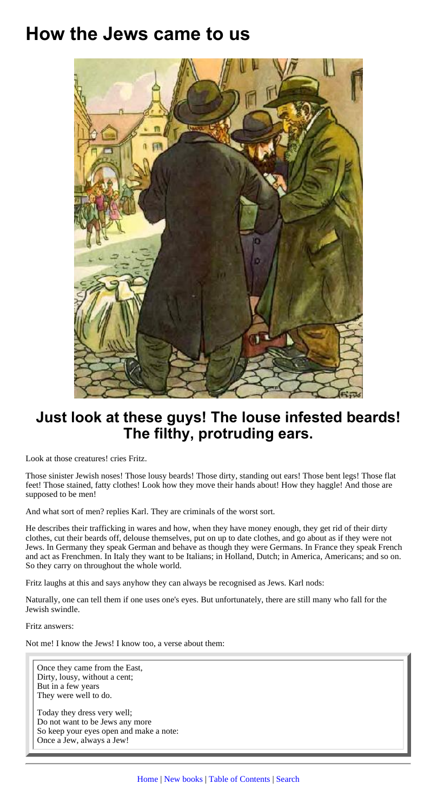# <span id="page-3-0"></span>**How the Jews came to us**



## **Just look at these guys! The louse infested beards! The filthy, protruding ears.**

Look at those creatures! cries Fritz.

Those sinister Jewish noses! Those lousy beards! Those dirty, standing out ears! Those bent legs! Those flat feet! Those stained, fatty clothes! Look how they move their hands about! How they haggle! And those are supposed to be men!

And what sort of men? replies Karl. They are criminals of the worst sort.

He describes their trafficking in wares and how, when they have money enough, they get rid of their dirty clothes, cut their beards off, delouse themselves, put on up to date clothes, and go about as if they were not Jews. In Germany they speak German and behave as though they were Germans. In France they speak French and act as Frenchmen. In Italy they want to be Italians; in Holland, Dutch; in America, Americans; and so on. So they carry on throughout the whole world.

Fritz laughs at this and says anyhow they can always be recognised as Jews. Karl nods:

Naturally, one can tell them if one uses one's eyes. But unfortunately, there are still many who fall for the Jewish swindle.

Fritz answers:

Once they came from the East, Dirty, lousy, without a cent; But in a few years They were well to do.

Today they dress very well; Do not want to be Jews any more So keep your eyes open and make a note: Once a Jew, always a Jew!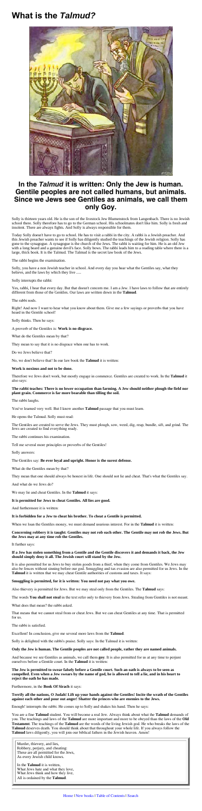# <span id="page-4-0"></span>**What is the Talmud?**



## **In the Talmud it is written: Only the Jew is human. Gentile peoples are not called humans, but animals. Since we Jews see Gentiles as animals, we call them only Goy.**

Solly is thirteen years old. He is the son of the livestock Jew Blumenstock from Langenbach. There is no Jewish school there. Solly therefore has to go to the German school. His schoolmates don't like him. Solly is fresh and insolent. There are always fights. And Solly is always responsible for them.

Today Solly doesn't have to go to school. He has to visit a rabbi in the city. A rabbi is a Jewish preacher. And this Jewish preacher wants to see if Solly has diligently studied the teachings of the Jewish religion. Solly has gone to the synagogue. A synagogue is the church of the Jews. The rabbi is waiting for him. He is an old Jew with a long beard and a genuine devil's face. Solly bows. The rabbi leads him to a reading table where there is a large, thick book. It is the Talmud. The Talmud is the secret law book of the Jews.

The rabbi begins the examination.

Solly, you have a non Jewish teacher in school. And every day you hear what the Gentiles say, what they believe, and the laws by which they live .....

Solly interrupts the rabbi:

Yes, rabbi, I hear that every day. But that doesn't concern me. I am a Jew. I have laws to follow that are entirely different from those of the Gentiles. Our laws are written down in the **Talmud**.

The rabbi nods.

Right! And now I want to hear what you know about them. Give me a few sayings or proverbs that you have heard in the Gentile school!

Solly thinks. Then he says:

A proverb of the Gentiles is: **Work is no disgrace.**

What do the Gentiles mean by that?

They mean to say that it is no disgrace when one has to work.

Do we Jews believe that?

No, we don't believe that! In our law book the **Talmud** it is written:

#### **Work is noxious and not to be done.**

Therefore we Jews don't work, but mostly engage in commerce. Gentiles are created to work. In the **Talmud** it also says:

#### **The rabbi teaches: There is no lower occupation than farming. A Jew should neither plough the field nor plant grain. Commerce is far more bearable than tilling the soil.**

The rabbi laughs.

You've learned very well. But I know another **Talmud** passage that you must learn.

He opens the Talmud. Solly must read:

The Gentiles are created to serve the Jews. They must plough, sow, weed, dig, reap, bundle, sift, and grind. The Jews are created to find everything ready.

The rabbi continues his examination.

Tell me several more principles or proverbs of the Gentiles!

Solly answers:

#### The Gentiles say: **Be ever loyal and upright. Honor is the surest defense.**

What do the Gentiles mean by that?

They mean that one should always be honest in life. One should not lie and cheat. That's what the Gentiles say.

And what do we Jews do?

We may lie and cheat Gentiles. In the **Talmud** it says:

#### **It is permitted for Jews to cheat Gentiles. All lies are good.**

And furthermore it is written:

#### **It is forbidden for a Jew to cheat his brother. To cheat a Gentile is permitted.**

When we loan the Gentiles money, we must demand usurious interest. For in the **Talmud** it is written:

#### **Concerning robbery it is taught: Gentiles may not rob each other. The Gentile may not rob the Jews. But the Jews may at any time rob the Gentiles.**

It further says:

#### **If a Jew has stolen something from a Gentile and the Gentile discovers it and demands it back, the Jew should simply deny it all. The Jewish court will stand by the Jew.**

It is also permitted for us Jews to buy stolen goods from a thief, when they come from Gentiles. We Jews may also be fences without sinning before our god. Smuggling and tax evasion are also permitted for us Jews. In the **Talmud** it is written that we may cheat Gentile authorities of customs and taxes. It says:

#### **Smuggling is permitted, for it is written: You need not pay what you owe.**

Also thievery is permitted for Jews. But we may steal only from the Gentiles. The **Talmud** says:

The words **You shall not steal** in the text refer only to thievery from Jews. Stealing from Gentiles is not meant.

What does that mean? the rabbi asked.

That means that we cannot steal from or cheat Jews. But we can cheat Gentiles at any time. That is permitted for us.

The rabbi is satisfied.

Excellent! In conclusion, give me several more laws from the **Talmud**.

Solly is delighted with the rabbi's praise. Solly says: In the Talmud it is written:

#### **Only the Jew is human. The Gentile peoples are not called people, rather they are named animals.**

And because we see Gentiles as animals, we call them **goy**. It is also permitted for us at any time to perjure ourselves before a Gentile court. In the **Talmud** it is written:

**The Jew is permitted to swear falsely before a Gentile court. Such an oath is always to be seen as compelled. Even when a Jew swears by the name of god, he is allowed to tell a lie, and in his heart to reject the oath he has made.**

Furthermore, in the **Book Of Sirach** it says:

#### **Terrify all the nations, O Judah! Lift up your hands against the Gentiles! Incite the wrath of the Gentiles against each other and pour out anger! Shatter the princes who are enemies to the Jews.**

Enough! interrupts the rabbi. He comes up to Solly and shakes his hand. Then he says:

You are a fine **Talmud** student. You will become a real Jew. Always think about what the **Talmud** demands of you. The teachings and laws of the **Talmud** are more important and more to be obeyed than the laws of the **Old Testament**. The teachings of the **Talmud** are the words of the living Jewish god. He who breaks the laws of the **Talmud** deserves death. You should think about that throughout your whole life. If you always follow the **Talmud** laws diligently, you will join our biblical fathers in the Jewish heaven. Amen!

Murder, thievery, and lies, Robbery, perjury, and cheating: These are all permitted for the Jews, As every Jewish child knows.

In the **Talmud** it is written, What Jews hate and what they love, What Jews think and how they live, All is ordained by the **Talmud**.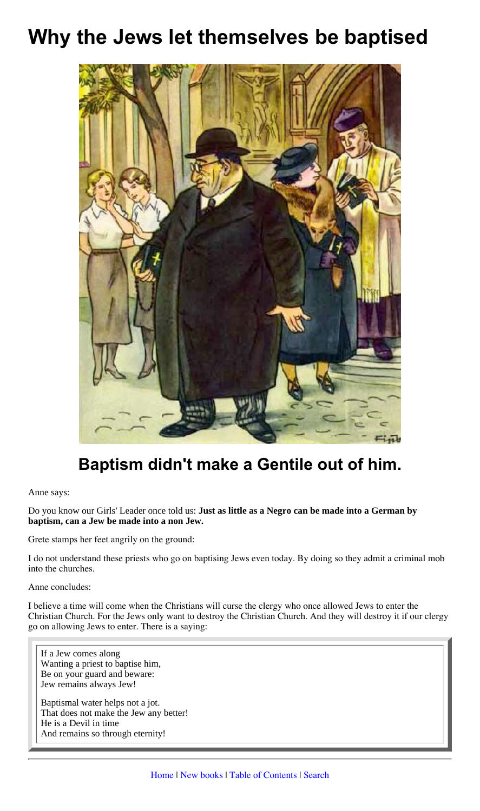# <span id="page-5-0"></span>**Why the Jews let themselves be baptised**



## **Baptism didn't make a Gentile out of him.**

Anne says:

Do you know our Girls' Leader once told us: **Just as little as a Negro can be made into a German by baptism, can a Jew be made into a non Jew.**

Grete stamps her feet angrily on the ground:

I do not understand these priests who go on baptising Jews even today. By doing so they admit a criminal mob into the churches.

Anne concludes:

I believe a time will come when the Christians will curse the clergy who once allowed Jews to enter the Christian Church. For the Jews only want to destroy the Christian Church. And they will destroy it if our clergy go on allowing Jews to enter. There is a saying:

If a Jew comes along Wanting a priest to baptise him, Be on your guard and beware: Jew remains always Jew!

Baptismal water helps not a jot. That does not make the Jew any better! He is a Devil in time And remains so through eternity!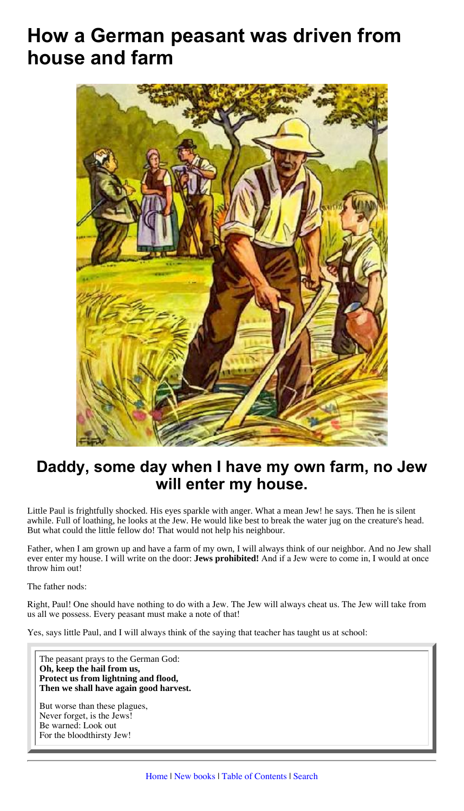# <span id="page-6-0"></span>**How a German peasant was driven from house and farm**



## **Daddy, some day when I have my own farm, no Jew will enter my house.**

Little Paul is frightfully shocked. His eyes sparkle with anger. What a mean Jew! he says. Then he is silent awhile. Full of loathing, he looks at the Jew. He would like best to break the water jug on the creature's head. But what could the little fellow do! That would not help his neighbour.

Father, when I am grown up and have a farm of my own, I will always think of our neighbor. And no Jew shall ever enter my house. I will write on the door: **Jews prohibited!** And if a Jew were to come in, I would at once throw him out!

The father nods:

Right, Paul! One should have nothing to do with a Jew. The Jew will always cheat us. The Jew will take from us all we possess. Every peasant must make a note of that!

Yes, says little Paul, and I will always think of the saying that teacher has taught us at school:

The peasant prays to the German God: **Oh, keep the hail from us, Protect us from lightning and flood, Then we shall have again good harvest.**

But worse than these plagues, Never forget, is the Jews! Be warned: Look out For the bloodthirsty Jew!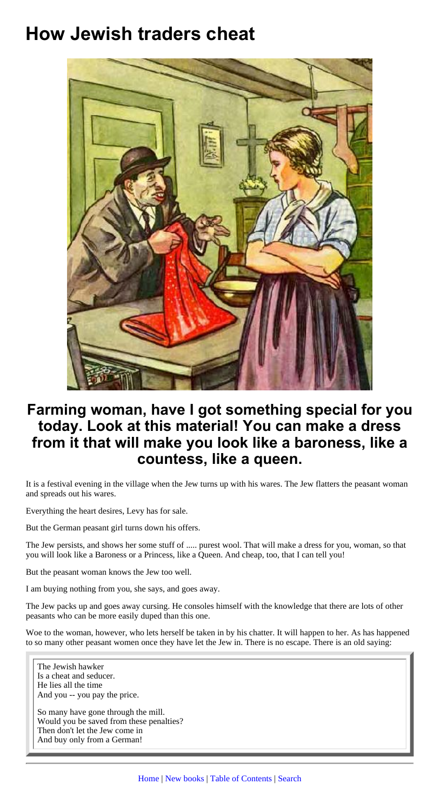# <span id="page-7-0"></span>**How Jewish traders cheat**



## **Farming woman, have I got something special for you today. Look at this material! You can make a dress from it that will make you look like a baroness, like a countess, like a queen.**

It is a festival evening in the village when the Jew turns up with his wares. The Jew flatters the peasant woman and spreads out his wares.

Everything the heart desires, Levy has for sale.

But the German peasant girl turns down his offers.

The Jew persists, and shows her some stuff of ..... purest wool. That will make a dress for you, woman, so that you will look like a Baroness or a Princess, like a Queen. And cheap, too, that I can tell you!

But the peasant woman knows the Jew too well.

I am buying nothing from you, she says, and goes away.

The Jew packs up and goes away cursing. He consoles himself with the knowledge that there are lots of other peasants who can be more easily duped than this one.

Woe to the woman, however, who lets herself be taken in by his chatter. It will happen to her. As has happened to so many other peasant women once they have let the Jew in. There is no escape. There is an old saying:

The Jewish hawker Is a cheat and seducer. He lies all the time And you -- you pay the price.

So many have gone through the mill. Would you be saved from these penalties? Then don't let the Jew come in And buy only from a German!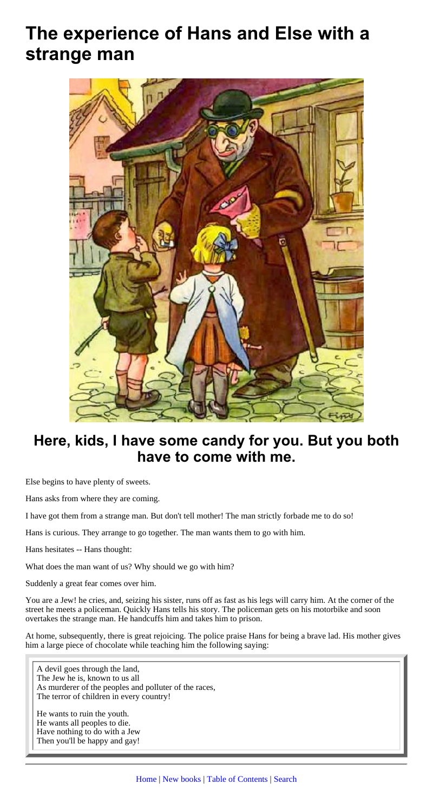# <span id="page-8-0"></span>**The experience of Hans and Else with a strange man**



## **Here, kids, I have some candy for you. But you both have to come with me.**

Else begins to have plenty of sweets.

Hans asks from where they are coming.

I have got them from a strange man. But don't tell mother! The man strictly forbade me to do so!

Hans is curious. They arrange to go together. The man wants them to go with him.

Hans hesitates -- Hans thought:

What does the man want of us? Why should we go with him?

Suddenly a great fear comes over him.

You are a Jew! he cries, and, seizing his sister, runs off as fast as his legs will carry him. At the corner of the street he meets a policeman. Quickly Hans tells his story. The policeman gets on his motorbike and soon overtakes the strange man. He handcuffs him and takes him to prison.

At home, subsequently, there is great rejoicing. The police praise Hans for being a brave lad. His mother gives him a large piece of chocolate while teaching him the following saying:

A devil goes through the land, The Jew he is, known to us all As murderer of the peoples and polluter of the races, The terror of children in every country!

He wants to ruin the youth. He wants all peoples to die. Have nothing to do with a Jew Then you'll be happy and gay!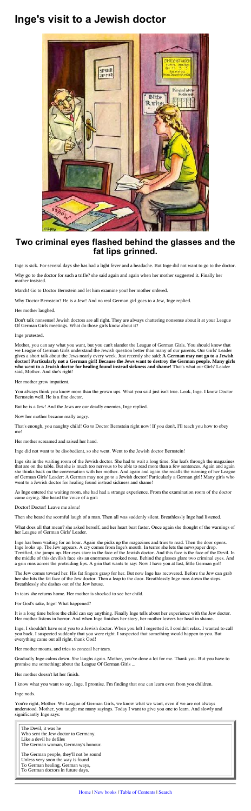# <span id="page-9-0"></span>**Inge's visit to a Jewish doctor**



## **Two criminal eyes flashed behind the glasses and the fat lips grinned.**

Inge is sick. For several days she has had a light fever and a headache. But Inge did not want to go to the doctor.

Why go to the doctor for such a trifle? she said again and again when her mother suggested it. Finally her mother insisted.

March! Go to Doctor Bernstein and let him examine you! her mother ordered.

Why Doctor Bernstein? He is a Jew! And no real German girl goes to a Jew, Inge replied.

Her mother laughed.

Don't talk nonsense! Jewish doctors are all right. They are always chattering nonsense about it at your League Of German Girls meetings. What do those girls know about it?

Inge protested.

Mother, you can say what you want, but you can't slander the League of German Girls. You should know that we League of German Girls understand the Jewish question better than many of our parents. Our Girls' Leader gives a short talk about the Jews nearly every week. Just recently she said: **A German may not go to a Jewish doctor! Particularly not a German girl! Because the Jews want to destroy the German people. Many girls who went to a Jewish doctor for healing found instead sickness and shame!** That's what our Girls' Leader

said, Mother. And she's right!

Her mother grew impatient.

You always think you know more than the grown ups. What you said just isn't true. Look, Inge. I know Doctor Bernstein well. He is a fine doctor.

But he is a Jew! And the Jews are our deadly enemies, Inge replied.

Now her mother became really angry.

That's enough, you naughty child! Go to Doctor Bernstein right now! If you don't, I'll teach you how to obey me!

Her mother screamed and raised her hand.

Inge did not want to be disobedient, so she went. Went to the Jewish doctor Bernstein!

Inge sits in the waiting room of the Jewish doctor. She had to wait a long time. She leafs through the magazines that are on the table. But she is much too nervous to be able to read more than a few sentences. Again and again she thinks back on the conversation with her mother. And again and again she recalls the warning of her League of German Girls' Leader: A German may not go to a Jewish doctor! Particularly a German girl! Many girls who went to a Jewish doctor for healing found instead sickness and shame!

As Inge entered the waiting room, she had had a strange experience. From the examination room of the doctor came crying. She heard the voice of a girl:

Doctor! Doctor! Leave me alone!

Then she heard the scornful laugh of a man. Then all was suddenly silent. Breathlessly Inge had listened.

What does all that mean? she asked herself, and her heart beat faster. Once again she thought of the warnings of her League of German Girls' Leader.

Inge has been waiting for an hour. Again she picks up the magazines and tries to read. Then the door opens. Inge looks up. The Jew appears. A cry comes from Inge's mouth. In terror she lets the newspaper drop. Terrified, she jumps up. Her eyes stare in the face of the Jewish doctor. And this face is the face of the Devil. In the middle of this devilish face sits an enormous crooked nose. Behind the glasses glare two criminal eyes. And a grin runs across the protruding lips. A grin that wants to say: Now I have you at last, little German girl!

The Jew comes toward her. His fat fingers grasp for her. But now Inge has recovered. Before the Jew can grab her she hits the fat face of the Jew doctor. Then a leap to the door. Breathlessly Inge runs down the steps. Breathlessly she dashes out of the Jew house.

In tears she returns home. Her mother is shocked to see her child.

For God's sake, Inge! What happened?

It is a long time before the child can say anything. Finally Inge tells about her experience with the Jew doctor. Her mother listens in horror. And when Inge finishes her story, her mother lowers her head in shame.

Inge, I shouldn't have sent you to a Jewish doctor. When you left I regretted it. I couldn't relax. I wanted to call you back. I suspected suddenly that you were right. I suspected that something would happen to you. But everything came out all right, thank God!

Her mother moans, and tries to conceal her tears.

Gradually Inge calms down. She laughs again. Mother, you've done a lot for me. Thank you. But you have to promise me something: about the League Of German Girls ...

Her mother doesn't let her finish.

I know what you want to say, Inge. I promise. I'm finding that one can learn even from you children.

Inge nods.

You're right, Mother. We League of German Girls, we know what we want, even if we are not always understood. Mother, you taught me many sayings. Today I want to give you one to learn. And slowly and significantly Inge says:

Like a devil he defiles The German woman, Germany's honour.

The German people, they'll not be sound Unless very soon the way is found To German healing, German ways, To German doctors in future days.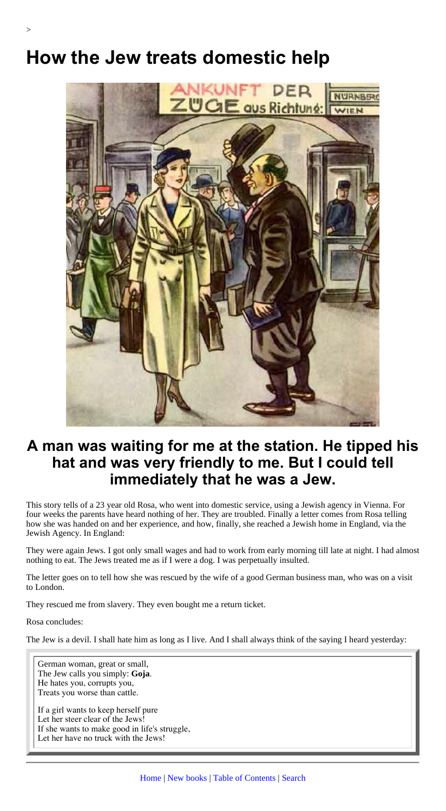# <span id="page-10-0"></span>**How the Jew treats domestic help**



## **A man was waiting for me at the station. He tipped his hat and was very friendly to me. But I could tell immediately that he was a Jew.**

This story tells of a 23 year old Rosa, who went into domestic service, using a Jewish agency in Vienna. For four weeks the parents have heard nothing of her. They are troubled. Finally a letter comes from Rosa telling how she was handed on and her experience, and how, finally, she reached a Jewish home in England, via the Jewish Agency. In England:

They were again Jews. I got only small wages and had to work from early morning till late at night. I had almost nothing to eat. The Jews treated me as if I were a dog. I was perpetually insulted.

The letter goes on to tell how she was rescued by the wife of a good German business man, who was on a visit to London.

They rescued me from slavery. They even bought me a return ticket.

Rosa concludes:

The Jew is a devil. I shall hate him as long as I live. And I shall always think of the saying I heard yesterday:

German woman, great or small, The Jew calls you simply: **Goja**. He hates you, corrupts you, Treats you worse than cattle.

If a girl wants to keep herself pure Let her steer clear of the Jews! If she wants to make good in life's struggle, Let her have no truck with the Jews!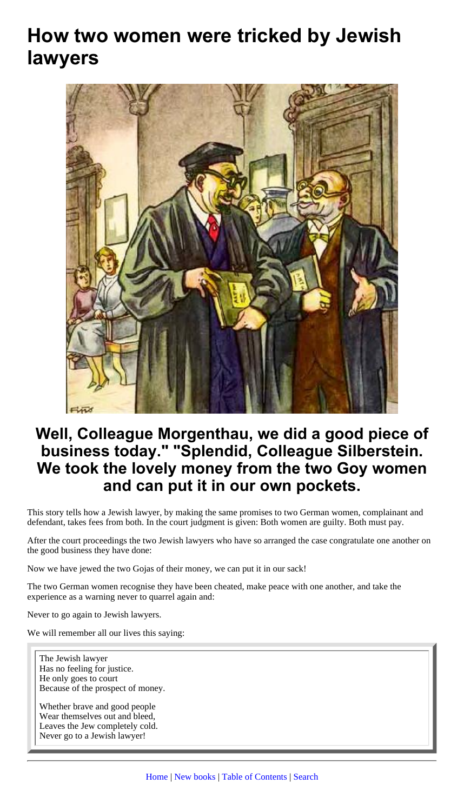# <span id="page-11-0"></span>**How two women were tricked by Jewish lawyers**



## **Well, Colleague Morgenthau, we did a good piece of business today." "Splendid, Colleague Silberstein. We took the lovely money from the two Goy women and can put it in our own pockets.**

This story tells how a Jewish lawyer, by making the same promises to two German women, complainant and defendant, takes fees from both. In the court judgment is given: Both women are guilty. Both must pay.

After the court proceedings the two Jewish lawyers who have so arranged the case congratulate one another on the good business they have done:

Now we have jewed the two Gojas of their money, we can put it in our sack!

The two German women recognise they have been cheated, make peace with one another, and take the experience as a warning never to quarrel again and:

Never to go again to Jewish lawyers.

We will remember all our lives this saying:

The Jewish lawyer Has no feeling for justice. He only goes to court Because of the prospect of money.

Whether brave and good people Wear themselves out and bleed, Leaves the Jew completely cold. Never go to a Jewish lawyer!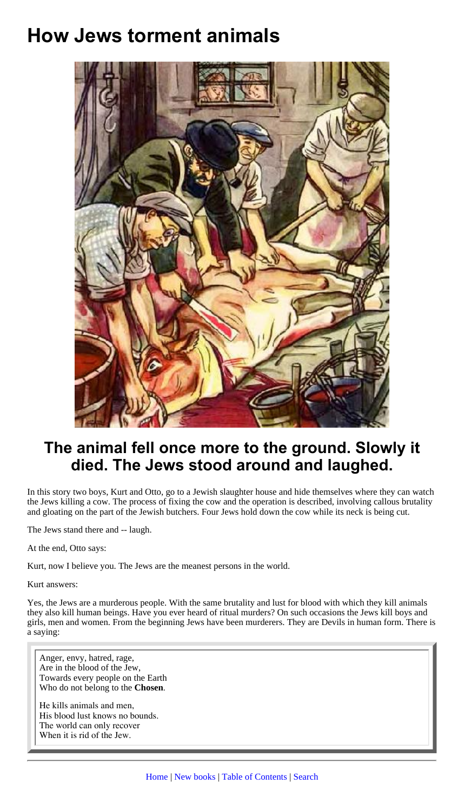# <span id="page-12-0"></span>**How Jews torment animals**



## **The animal fell once more to the ground. Slowly it died. The Jews stood around and laughed.**

In this story two boys, Kurt and Otto, go to a Jewish slaughter house and hide themselves where they can watch the Jews killing a cow. The process of fixing the cow and the operation is described, involving callous brutality and gloating on the part of the Jewish butchers. Four Jews hold down the cow while its neck is being cut.

The Jews stand there and -- laugh.

At the end, Otto says:

Kurt, now I believe you. The Jews are the meanest persons in the world.

Kurt answers:

Yes, the Jews are a murderous people. With the same brutality and lust for blood with which they kill animals they also kill human beings. Have you ever heard of ritual murders? On such occasions the Jews kill boys and girls, men and women. From the beginning Jews have been murderers. They are Devils in human form. There is a saying:

Anger, envy, hatred, rage, Are in the blood of the Jew, Towards every people on the Earth Who do not belong to the **Chosen**.

He kills animals and men, His blood lust knows no bounds. The world can only recover When it is rid of the Jew.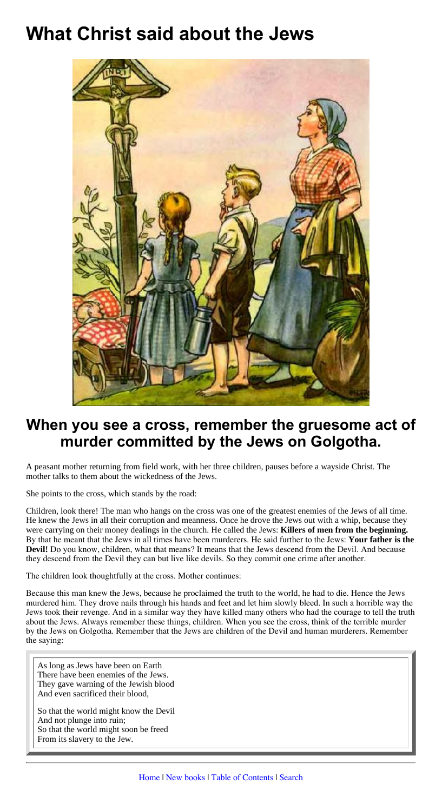# <span id="page-13-0"></span>**What Christ said about the Jews**



#### **When you see a cross, remember the gruesome act of murder committed by the Jews on Golgotha.**

A peasant mother returning from field work, with her three children, pauses before a wayside Christ. The mother talks to them about the wickedness of the Jews.

She points to the cross, which stands by the road:

Children, look there! The man who hangs on the cross was one of the greatest enemies of the Jews of all time. He knew the Jews in all their corruption and meanness. Once he drove the Jews out with a whip, because they were carrying on their money dealings in the church. He called the Jews: **Killers of men from the beginning.** By that he meant that the Jews in all times have been murderers. He said further to the Jews: **Your father is the Devil!** Do you know, children, what that means? It means that the Jews descend from the Devil. And because they descend from the Devil they can but live like devils. So they commit one crime after another.

The children look thoughtfully at the cross. Mother continues:

Because this man knew the Jews, because he proclaimed the truth to the world, he had to die. Hence the Jews murdered him. They drove nails through his hands and feet and let him slowly bleed. In such a horrible way the Jews took their revenge. And in a similar way they have killed many others who had the courage to tell the truth about the Jews. Always remember these things, children. When you see the cross, think of the terrible murder by the Jews on Golgotha. Remember that the Jews are children of the Devil and human murderers. Remember the saying:

As long as Jews have been on Earth There have been enemies of the Jews. They gave warning of the Jewish blood And even sacrificed their blood,

So that the world might know the Devil And not plunge into ruin; So that the world might soon be freed From its slavery to the Jew.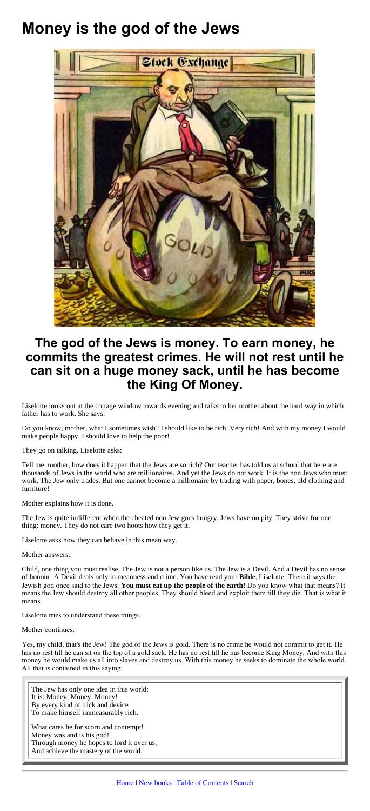# <span id="page-14-0"></span>**Money is the god of the Jews**



## **The god of the Jews is money. To earn money, he commits the greatest crimes. He will not rest until he can sit on a huge money sack, until he has become the King Of Money.**

Liselotte looks out at the cottage window towards evening and talks to her mother about the hard way in which father has to work. She says:

Do you know, mother, what I sometimes wish? I should like to be rich. Very rich! And with my money I would make people happy. I should love to help the poor!

They go on talking. Liselotte asks:

Tell me, mother, how does it happen that the Jews are so rich? Our teacher has told us at school that here are thousands of Jews in the world who are millionaires. And yet the Jews do not work. It is the non Jews who must work. The Jew only trades. But one cannot become a millionaire by trading with paper, bones, old clothing and furniture!

Mother explains how it is done.

The Jew is quite indifferent when the cheated non Jew goes hungry. Jews have no pity. They strive for one thing: money. They do not care two hoots how they get it.

Liselotte asks how they can behave in this mean way.

#### Mother answers:

Child, one thing you must realise. The Jew is not a person like us. The Jew is a Devil. And a Devil has no sense of honour. A Devil deals only in meanness and crime. You have read your **Bible**, Liselotte. There it says the Jewish god once said to the Jews: **You must eat up the people of the earth!** Do you know what that means? It means the Jew should destroy all other peoples. They should bleed and exploit them till they die. That is what it means.

Liselotte tries to understand these things.

Mother continues:

Yes, my child, that's the Jew! The god of the Jews is gold. There is no crime he would not commit to get it. He has no rest till he can sit on the top of a gold sack. He has no rest till he has become King Money. And with this money he would make us all into slaves and destroy us. With this money he seeks to dominate the whole world. All that is contained in this saying:

The Jew has only one idea in this world: It is: Money, Money, Money! By every kind of trick and device To make himself immeasurably rich.

What cares he for scorn and contempt! Money was and is his god! Through money he hopes to lord it over us, And achieve the mastery of the world.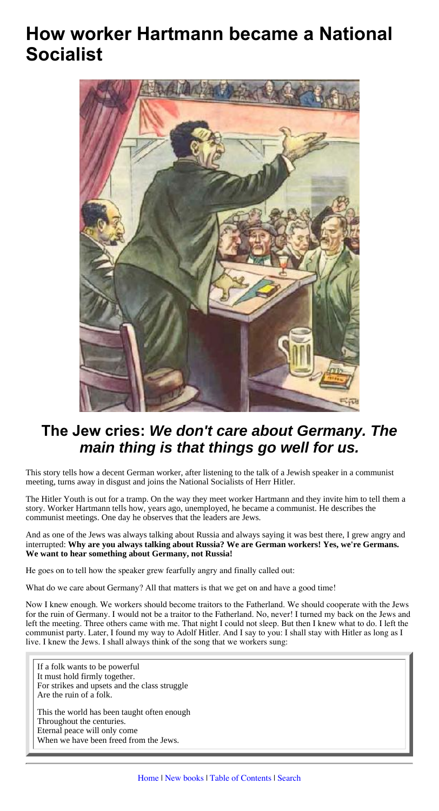# <span id="page-15-0"></span>**How worker Hartmann became a National Socialist**



## **The Jew cries: We don't care about Germany. The main thing is that things go well for us.**

This story tells how a decent German worker, after listening to the talk of a Jewish speaker in a communist meeting, turns away in disgust and joins the National Socialists of Herr Hitler.

The Hitler Youth is out for a tramp. On the way they meet worker Hartmann and they invite him to tell them a story. Worker Hartmann tells how, years ago, unemployed, he became a communist. He describes the communist meetings. One day he observes that the leaders are Jews.

And as one of the Jews was always talking about Russia and always saying it was best there, I grew angry and interrupted: **Why are you always talking about Russia? We are German workers! Yes, we're Germans. We want to hear something about Germany, not Russia!**

He goes on to tell how the speaker grew fearfully angry and finally called out:

What do we care about Germany? All that matters is that we get on and have a good time!

Now I knew enough. We workers should become traitors to the Fatherland. We should cooperate with the Jews for the ruin of Germany. I would not be a traitor to the Fatherland. No, never! I turned my back on the Jews and left the meeting. Three others came with me. That night I could not sleep. But then I knew what to do. I left the communist party. Later, I found my way to Adolf Hitler. And I say to you: I shall stay with Hitler as long as I live. I knew the Jews. I shall always think of the song that we workers sung:

If a folk wants to be powerful It must hold firmly together. For strikes and upsets and the class struggle Are the ruin of a folk.

This the world has been taught often enough Throughout the centuries. Eternal peace will only come When we have been freed from the Jews.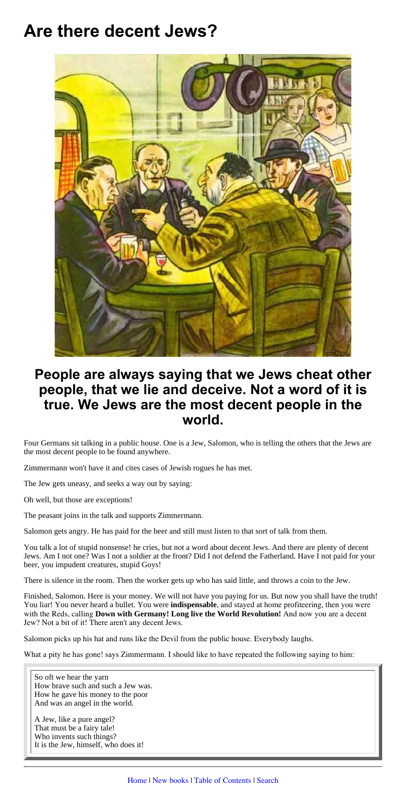# <span id="page-16-0"></span>**Are there decent Jews?**



### **People are always saying that we Jews cheat other people, that we lie and deceive. Not a word of it is true. We Jews are the most decent people in the world.**

Four Germans sit talking in a public house. One is a Jew, Salomon, who is telling the others that the Jews are the most decent people to be found anywhere.

Zimmermann won't have it and cites cases of Jewish rogues he has met.

The Jew gets uneasy, and seeks a way out by saying:

Oh well, but those are exceptions!

The peasant joins in the talk and supports Zimmermann.

Salomon gets angry. He has paid for the beer and still must listen to that sort of talk from them.

You talk a lot of stupid nonsense! he cries, but not a word about decent Jews. And there are plenty of decent Jews. Am I not one? Was I not a soldier at the front? Did I not defend the Fatherland. Have I not paid for your beer, you impudent creatures, stupid Goys!

There is silence in the room. Then the worker gets up who has said little, and throws a coin to the Jew.

Finished, Salomon. Here is your money. We will not have you paying for us. But now you shall have the truth! You liar! You never heard a bullet. You were **indispensable**, and stayed at home profiteering, then you were with the Reds, calling **Down with Germany! Long live the World Revolution!** And now you are a decent Jew? Not a bit of it! There aren't any decent Jews.

Salomon picks up his hat and runs like the Devil from the public house. Everybody laughs.

What a pity he has gone! says Zimmermann. I should like to have repeated the following saying to him:

So oft we hear the yarn How brave such and such a Jew was. How he gave his money to the poor And was an angel in the world.

A Jew, like a pure angel? That must be a fairy tale! Who invents such things? It is the Jew, himself, who does it!